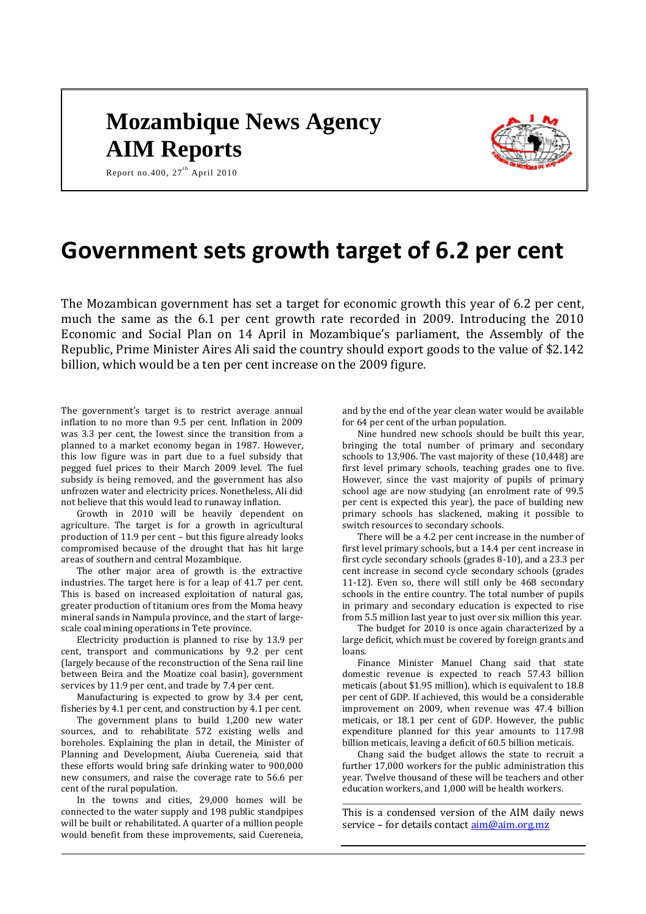# **Mozambique News Agency AIM Reports**



Report no.400, 27<sup>th</sup> April 2010

## **Government sets growth target of 6.2 per cent**

The Mozambican government has set a target for economic growth this year of 6.2 per cent, much the same as the 6.1 per cent growth rate recorded in 2009. Introducing the 2010 Economic and Social Plan on 14 April in Mozambique's parliament, the Assembly of the Republic, Prime Minister Aires Ali said the country should export goods to the value of \$2.142 billion, which would be a ten per cent increase on the 2009 figure.

The government's target is to restrict average annual inflation to no more than 9.5 per cent. Inflation in 2009 was 3.3 per cent, the lowest since the transition from a planned to a market economy began in 1987. However, this low figure was in part due to a fuel subsidy that pegged fuel prices to their March 2009 level. The fuel subsidy is being removed, and the government has also unfrozen water and electricity prices. Nonetheless, Ali did not believe that this would lead to runaway inflation.

Growth in 2010 will be heavily dependent on agriculture. The target is for a growth in agricultural production of 11.9 per cent – but this figure already looks compromised because of the drought that has hit large areas of southern and central Mozambique.

The other major area of growth is the extractive industries. The target here is for a leap of 41.7 per cent. This is based on increased exploitation of natural gas, greater production of titanium ores from the Moma heavy mineral sands in Nampula province, and the start of largescale coal mining operations in Tete province.

Electricity production is planned to rise by 13.9 per cent, transport and communications by 9.2 per cent (largely because of the reconstruction of the Sena rail line between Beira and the Moatize coal basin), government services by 11.9 per cent, and trade by 7.4 per cent.

Manufacturing is expected to grow by 3.4 per cent, fisheries by 4.1 per cent, and construction by 4.1 per cent.

The government plans to build 1,200 new water sources, and to rehabilitate 572 existing wells and boreholes. Explaining the plan in detail, the Minister of Planning and Development, Aiuba Cuereneia, said that these efforts would bring safe drinking water to 900,000 new consumers, and raise the coverage rate to 56.6 per cent of the rural population.

In the towns and cities, 29,000 homes will be connected to the water supply and 198 public standpipes will be built or rehabilitated. A quarter of a million people would benefit from these improvements, said Cuereneia,

and by the end of the year clean water would be available for 64 per cent of the urban population.

Nine hundred new schools should be built this year, bringing the total number of primary and secondary schools to 13,906. The vast majority of these (10,448) are first level primary schools, teaching grades one to five. However, since the vast majority of pupils of primary school age are now studying (an enrolment rate of 99.5 per cent is expected this year), the pace of building new primary schools has slackened, making it possible to switch resources to secondary schools.

There will be a 4.2 per cent increase in the number of first level primary schools, but a 14.4 per cent increase in first cycle secondary schools (grades 8-10), and a 23.3 per cent increase in second cycle secondary schools (grades 11-12). Even so, there will still only be 468 secondary schools in the entire country. The total number of pupils in primary and secondary education is expected to rise from 5.5 million last year to just over six million this year.

The budget for 2010 is once again characterized by a large deficit, which must be covered by foreign grants and loans.

Finance Minister Manuel Chang said that state domestic revenue is expected to reach 57.43 billion meticais (about \$1.95 million), which is equivalent to 18.8 per cent of GDP. If achieved, this would be a considerable improvement on 2009, when revenue was 47.4 billion meticais, or 18.1 per cent of GDP. However, the public expenditure planned for this year amounts to 117.98 billion meticais, leaving a deficit of 60.5 billion meticais.

Chang said the budget allows the state to recruit a further 17,000 workers for the public administration this year. Twelve thousand of these will be teachers and other education workers, and 1,000 will be health workers.

*\_\_\_\_\_\_\_\_\_\_\_\_\_\_\_\_\_\_\_\_\_\_\_\_\_\_\_\_\_\_\_\_\_\_\_\_\_\_\_\_\_\_\_\_\_\_\_\_\_* This is a condensed version of the AIM daily news service - for details contac[t aim@aim.org.mz](mailto:aim@aim.org.mz)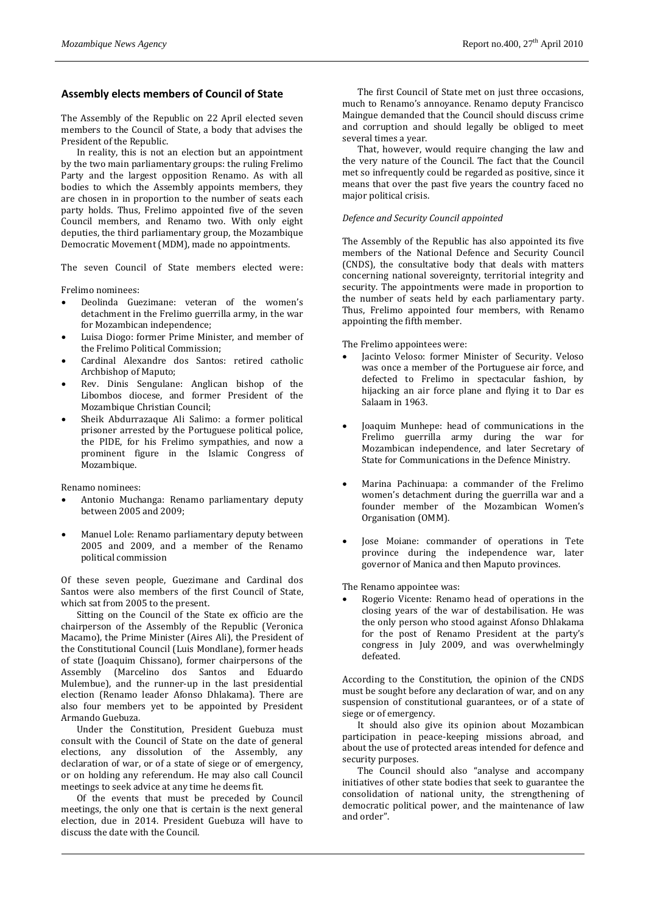## **Assembly elects members of Council of State**

The Assembly of the Republic on 22 April elected seven members to the Council of State, a body that advises the President of the Republic.

In reality, this is not an election but an appointment by the two main parliamentary groups: the ruling Frelimo Party and the largest opposition Renamo. As with all bodies to which the Assembly appoints members, they are chosen in in proportion to the number of seats each party holds. Thus, Frelimo appointed five of the seven Council members, and Renamo two. With only eight deputies, the third parliamentary group, the Mozambique Democratic Movement (MDM), made no appointments.

The seven Council of State members elected were:

Frelimo nominees:

- Deolinda Guezimane: veteran of the women's detachment in the Frelimo guerrilla army, in the war for Mozambican independence;
- Luisa Diogo: former Prime Minister, and member of the Frelimo Political Commission;
- Cardinal Alexandre dos Santos: retired catholic Archbishop of Maputo;
- Rev. Dinis Sengulane: Anglican bishop of the Libombos diocese, and former President of the Mozambique Christian Council;
- Sheik Abdurrazaque Ali Salimo: a former political prisoner arrested by the Portuguese political police, the PIDE, for his Frelimo sympathies, and now a prominent figure in the Islamic Congress of Mozambique.

Renamo nominees:

- Antonio Muchanga: Renamo parliamentary deputy between 2005 and 2009;
- Manuel Lole: Renamo parliamentary deputy between 2005 and 2009, and a member of the Renamo political commission

Of these seven people, Guezimane and Cardinal dos Santos were also members of the first Council of State, which sat from 2005 to the present.

Sitting on the Council of the State ex officio are the chairperson of the Assembly of the Republic (Veronica Macamo), the Prime Minister (Aires Ali), the President of the Constitutional Council (Luis Mondlane), former heads of state (Joaquim Chissano), former chairpersons of the Assembly (Marcelino dos Santos and Eduardo Mulembue), and the runner-up in the last presidential election (Renamo leader Afonso Dhlakama). There are also four members yet to be appointed by President Armando Guebuza.

Under the Constitution, President Guebuza must consult with the Council of State on the date of general elections, any dissolution of the Assembly, any declaration of war, or of a state of siege or of emergency, or on holding any referendum. He may also call Council meetings to seek advice at any time he deems fit.

Of the events that must be preceded by Council meetings, the only one that is certain is the next general election, due in 2014. President Guebuza will have to discuss the date with the Council.

The first Council of State met on just three occasions, much to Renamo's annoyance. Renamo deputy Francisco Maingue demanded that the Council should discuss crime and corruption and should legally be obliged to meet several times a year.

That, however, would require changing the law and the very nature of the Council. The fact that the Council met so infrequently could be regarded as positive, since it means that over the past five years the country faced no major political crisis.

#### *Defence and Security Council appointed*

The Assembly of the Republic has also appointed its five members of the National Defence and Security Council (CNDS), the consultative body that deals with matters concerning national sovereignty, territorial integrity and security. The appointments were made in proportion to the number of seats held by each parliamentary party. Thus, Frelimo appointed four members, with Renamo appointing the fifth member.

The Frelimo appointees were:

- Jacinto Veloso: former Minister of Security. Veloso was once a member of the Portuguese air force, and defected to Frelimo in spectacular fashion, by hijacking an air force plane and flying it to Dar es Salaam in 1963.
- Joaquim Munhepe: head of communications in the Frelimo guerrilla army during the war for Mozambican independence, and later Secretary of State for Communications in the Defence Ministry.
- Marina Pachinuapa: a commander of the Frelimo women's detachment during the guerrilla war and a founder member of the Mozambican Women's Organisation (OMM).
- Jose Moiane: commander of operations in Tete province during the independence war, later governor of Manica and then Maputo provinces.

The Renamo appointee was:

 Rogerio Vicente: Renamo head of operations in the closing years of the war of destabilisation. He was the only person who stood against Afonso Dhlakama for the post of Renamo President at the party's congress in July 2009, and was overwhelmingly defeated.

According to the Constitution, the opinion of the CNDS must be sought before any declaration of war, and on any suspension of constitutional guarantees, or of a state of siege or of emergency.

It should also give its opinion about Mozambican participation in peace-keeping missions abroad, and about the use of protected areas intended for defence and security purposes.

The Council should also "analyse and accompany initiatives of other state bodies that seek to guarantee the consolidation of national unity, the strengthening of democratic political power, and the maintenance of law and order".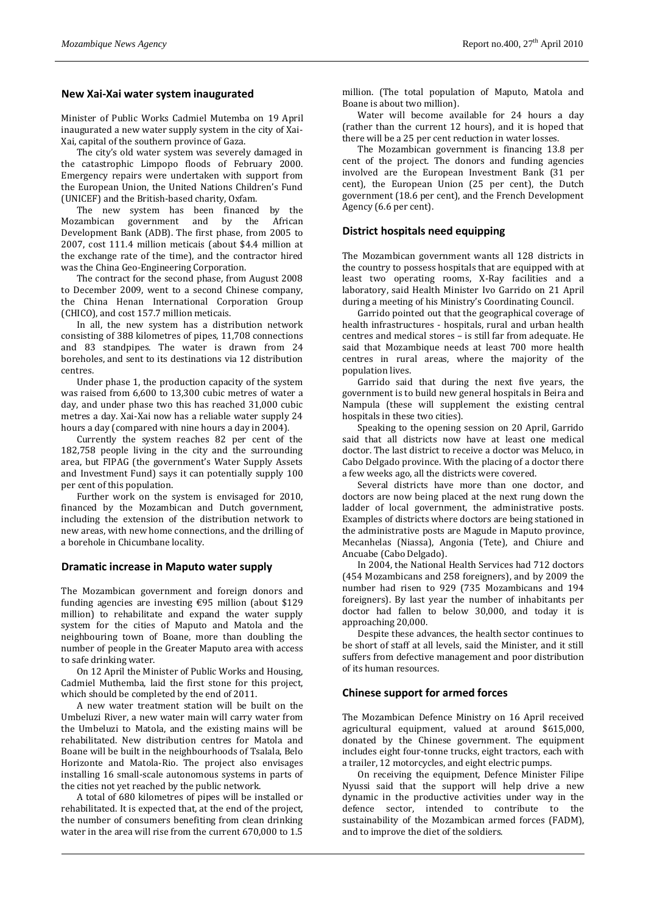## **New Xai-Xai water system inaugurated**

Minister of Public Works Cadmiel Mutemba on 19 April inaugurated a new water supply system in the city of Xai-Xai, capital of the southern province of Gaza.

The city's old water system was severely damaged in the catastrophic Limpopo floods of February 2000. Emergency repairs were undertaken with support from the European Union, the United Nations Children's Fund (UNICEF) and the British-based charity, Oxfam.

The new system has been financed by the Mozambican government and by the African Development Bank (ADB). The first phase, from 2005 to 2007, cost 111.4 million meticais (about \$4.4 million at the exchange rate of the time), and the contractor hired was the China Geo-Engineering Corporation.

The contract for the second phase, from August 2008 to December 2009, went to a second Chinese company, the China Henan International Corporation Group (CHICO), and cost 157.7 million meticais.

In all, the new system has a distribution network consisting of 388 kilometres of pipes, 11,708 connections and 83 standpipes. The water is drawn from 24 boreholes, and sent to its destinations via 12 distribution centres.

Under phase 1, the production capacity of the system was raised from 6,600 to 13,300 cubic metres of water a day, and under phase two this has reached 31,000 cubic metres a day. Xai-Xai now has a reliable water supply 24 hours a day (compared with nine hours a day in 2004).

Currently the system reaches 82 per cent of the 182,758 people living in the city and the surrounding area, but FIPAG (the government's Water Supply Assets and Investment Fund) says it can potentially supply 100 per cent of this population.

Further work on the system is envisaged for 2010, financed by the Mozambican and Dutch government, including the extension of the distribution network to new areas, with new home connections, and the drilling of a borehole in Chicumbane locality.

#### **Dramatic increase in Maputo water supply**

The Mozambican government and foreign donors and funding agencies are investing €95 million (about \$129 million) to rehabilitate and expand the water supply system for the cities of Maputo and Matola and the neighbouring town of Boane, more than doubling the number of people in the Greater Maputo area with access to safe drinking water.

On 12 April the Minister of Public Works and Housing, Cadmiel Muthemba, laid the first stone for this project, which should be completed by the end of 2011.

A new water treatment station will be built on the Umbeluzi River, a new water main will carry water from the Umbeluzi to Matola, and the existing mains will be rehabilitated. New distribution centres for Matola and Boane will be built in the neighbourhoods of Tsalala, Belo Horizonte and Matola-Rio. The project also envisages installing 16 small-scale autonomous systems in parts of the cities not yet reached by the public network.

A total of 680 kilometres of pipes will be installed or rehabilitated. It is expected that, at the end of the project, the number of consumers benefiting from clean drinking water in the area will rise from the current 670,000 to 1.5

million. (The total population of Maputo, Matola and Boane is about two million).

Water will become available for 24 hours a day (rather than the current 12 hours), and it is hoped that there will be a 25 per cent reduction in water losses.

The Mozambican government is financing 13.8 per cent of the project. The donors and funding agencies involved are the European Investment Bank (31 per cent), the European Union (25 per cent), the Dutch government (18.6 per cent), and the French Development Agency (6.6 per cent).

## **District hospitals need equipping**

The Mozambican government wants all 128 districts in the country to possess hospitals that are equipped with at least two operating rooms, X-Ray facilities and a laboratory, said Health Minister Ivo Garrido on 21 April during a meeting of his Ministry's Coordinating Council.

Garrido pointed out that the geographical coverage of health infrastructures - hospitals, rural and urban health centres and medical stores – is still far from adequate. He said that Mozambique needs at least 700 more health centres in rural areas, where the majority of the population lives.

Garrido said that during the next five years, the government is to build new general hospitals in Beira and Nampula (these will supplement the existing central hospitals in these two cities).

Speaking to the opening session on 20 April, Garrido said that all districts now have at least one medical doctor. The last district to receive a doctor was Meluco, in Cabo Delgado province. With the placing of a doctor there a few weeks ago, all the districts were covered.

Several districts have more than one doctor, and doctors are now being placed at the next rung down the ladder of local government, the administrative posts. Examples of districts where doctors are being stationed in the administrative posts are Magude in Maputo province, Mecanhelas (Niassa), Angonia (Tete), and Chiure and Ancuabe (Cabo Delgado).

In 2004, the National Health Services had 712 doctors (454 Mozambicans and 258 foreigners), and by 2009 the number had risen to 929 (735 Mozambicans and 194 foreigners). By last year the number of inhabitants per doctor had fallen to below 30,000, and today it is approaching 20,000.

Despite these advances, the health sector continues to be short of staff at all levels, said the Minister, and it still suffers from defective management and poor distribution of its human resources.

#### **Chinese support for armed forces**

The Mozambican Defence Ministry on 16 April received agricultural equipment, valued at around \$615,000, donated by the Chinese government. The equipment includes eight four-tonne trucks, eight tractors, each with a trailer, 12 motorcycles, and eight electric pumps.

On receiving the equipment, Defence Minister Filipe Nyussi said that the support will help drive a new dynamic in the productive activities under way in the defence sector, intended to contribute to the sustainability of the Mozambican armed forces (FADM), and to improve the diet of the soldiers.